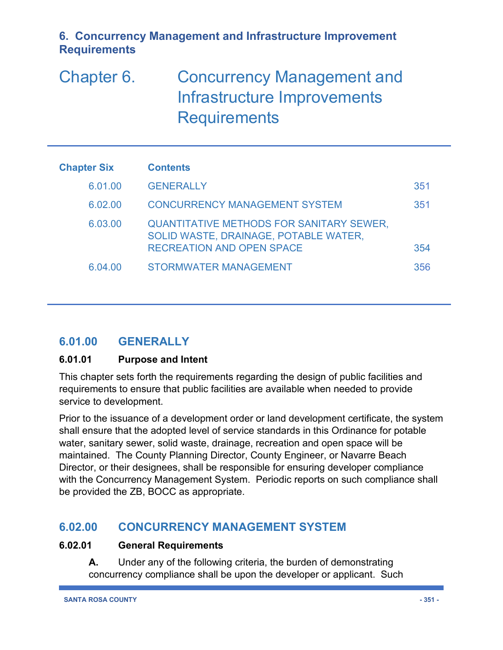# Chapter 6. Concurrency Management and Infrastructure Improvements **Requirements**

| <b>Chapter Six</b> | <b>Contents</b>                                                                                                              |     |
|--------------------|------------------------------------------------------------------------------------------------------------------------------|-----|
| 6.01.00            | <b>GENERALLY</b>                                                                                                             | 351 |
| 6.02.00            | <b>CONCURRENCY MANAGEMENT SYSTEM</b>                                                                                         | 351 |
| 6.03.00            | <b>QUANTITATIVE METHODS FOR SANITARY SEWER,</b><br>SOLID WASTE, DRAINAGE, POTABLE WATER,<br><b>RECREATION AND OPEN SPACE</b> | 354 |
| 6.04.00            | <b>STORMWATER MANAGEMENT</b>                                                                                                 | 356 |

# **6.01.00 GENERALLY**

#### **6.01.01 Purpose and Intent**

This chapter sets forth the requirements regarding the design of public facilities and requirements to ensure that public facilities are available when needed to provide service to development.

Prior to the issuance of a development order or land development certificate, the system shall ensure that the adopted level of service standards in this Ordinance for potable water, sanitary sewer, solid waste, drainage, recreation and open space will be maintained. The County Planning Director, County Engineer, or Navarre Beach Director, or their designees, shall be responsible for ensuring developer compliance with the Concurrency Management System. Periodic reports on such compliance shall be provided the ZB, BOCC as appropriate.

## **6.02.00 CONCURRENCY MANAGEMENT SYSTEM**

#### **6.02.01 General Requirements**

**A.** Under any of the following criteria, the burden of demonstrating concurrency compliance shall be upon the developer or applicant. Such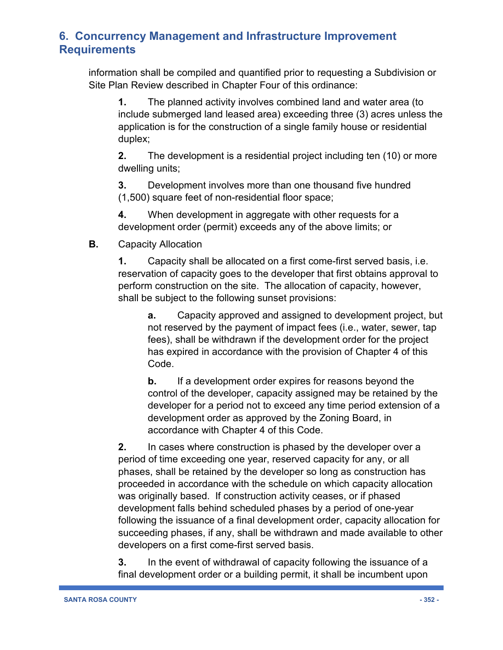information shall be compiled and quantified prior to requesting a Subdivision or Site Plan Review described in Chapter Four of this ordinance:

**1.** The planned activity involves combined land and water area (to include submerged land leased area) exceeding three (3) acres unless the application is for the construction of a single family house or residential duplex;

**2.** The development is a residential project including ten (10) or more dwelling units;

**3.** Development involves more than one thousand five hundred (1,500) square feet of non-residential floor space;

**4.** When development in aggregate with other requests for a development order (permit) exceeds any of the above limits; or

**B.** Capacity Allocation

**1.** Capacity shall be allocated on a first come-first served basis, i.e. reservation of capacity goes to the developer that first obtains approval to perform construction on the site. The allocation of capacity, however, shall be subject to the following sunset provisions:

**a.** Capacity approved and assigned to development project, but not reserved by the payment of impact fees (i.e., water, sewer, tap fees), shall be withdrawn if the development order for the project has expired in accordance with the provision of Chapter 4 of this Code.

**b.** If a development order expires for reasons beyond the control of the developer, capacity assigned may be retained by the developer for a period not to exceed any time period extension of a development order as approved by the Zoning Board, in accordance with Chapter 4 of this Code.

**2.** In cases where construction is phased by the developer over a period of time exceeding one year, reserved capacity for any, or all phases, shall be retained by the developer so long as construction has proceeded in accordance with the schedule on which capacity allocation was originally based. If construction activity ceases, or if phased development falls behind scheduled phases by a period of one-year following the issuance of a final development order, capacity allocation for succeeding phases, if any, shall be withdrawn and made available to other developers on a first come-first served basis.

**3.** In the event of withdrawal of capacity following the issuance of a final development order or a building permit, it shall be incumbent upon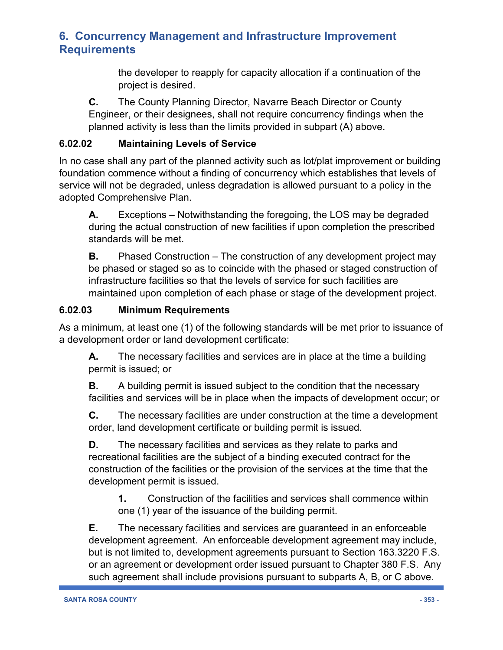the developer to reapply for capacity allocation if a continuation of the project is desired.

**C.** The County Planning Director, Navarre Beach Director or County Engineer, or their designees, shall not require concurrency findings when the planned activity is less than the limits provided in subpart (A) above.

#### **6.02.02 Maintaining Levels of Service**

In no case shall any part of the planned activity such as lot/plat improvement or building foundation commence without a finding of concurrency which establishes that levels of service will not be degraded, unless degradation is allowed pursuant to a policy in the adopted Comprehensive Plan.

**A.** Exceptions – Notwithstanding the foregoing, the LOS may be degraded during the actual construction of new facilities if upon completion the prescribed standards will be met.

**B.** Phased Construction – The construction of any development project may be phased or staged so as to coincide with the phased or staged construction of infrastructure facilities so that the levels of service for such facilities are maintained upon completion of each phase or stage of the development project.

#### **6.02.03 Minimum Requirements**

As a minimum, at least one (1) of the following standards will be met prior to issuance of a development order or land development certificate:

**A.** The necessary facilities and services are in place at the time a building permit is issued; or

**B.** A building permit is issued subject to the condition that the necessary facilities and services will be in place when the impacts of development occur; or

**C.** The necessary facilities are under construction at the time a development order, land development certificate or building permit is issued.

**D.** The necessary facilities and services as they relate to parks and recreational facilities are the subject of a binding executed contract for the construction of the facilities or the provision of the services at the time that the development permit is issued.

**1.** Construction of the facilities and services shall commence within one (1) year of the issuance of the building permit.

**E.** The necessary facilities and services are guaranteed in an enforceable development agreement. An enforceable development agreement may include, but is not limited to, development agreements pursuant to Section 163.3220 F.S. or an agreement or development order issued pursuant to Chapter 380 F.S. Any such agreement shall include provisions pursuant to subparts A, B, or C above.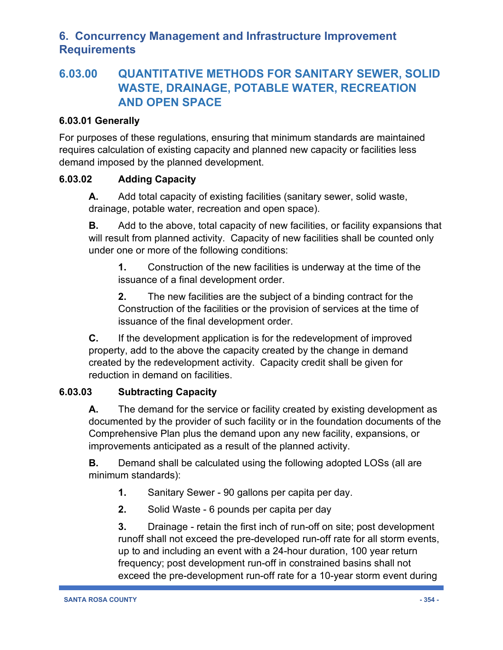# **6.03.00 QUANTITATIVE METHODS FOR SANITARY SEWER, SOLID WASTE, DRAINAGE, POTABLE WATER, RECREATION AND OPEN SPACE**

#### **6.03.01 Generally**

For purposes of these regulations, ensuring that minimum standards are maintained requires calculation of existing capacity and planned new capacity or facilities less demand imposed by the planned development.

#### **6.03.02 Adding Capacity**

**A.** Add total capacity of existing facilities (sanitary sewer, solid waste, drainage, potable water, recreation and open space).

**B.** Add to the above, total capacity of new facilities, or facility expansions that will result from planned activity. Capacity of new facilities shall be counted only under one or more of the following conditions:

**1.** Construction of the new facilities is underway at the time of the issuance of a final development order.

**2.** The new facilities are the subject of a binding contract for the Construction of the facilities or the provision of services at the time of issuance of the final development order.

**C.** If the development application is for the redevelopment of improved property, add to the above the capacity created by the change in demand created by the redevelopment activity. Capacity credit shall be given for reduction in demand on facilities.

#### **6.03.03 Subtracting Capacity**

**A.** The demand for the service or facility created by existing development as documented by the provider of such facility or in the foundation documents of the Comprehensive Plan plus the demand upon any new facility, expansions, or improvements anticipated as a result of the planned activity.

**B.** Demand shall be calculated using the following adopted LOSs (all are minimum standards):

- **1.** Sanitary Sewer 90 gallons per capita per day.
- **2.** Solid Waste 6 pounds per capita per day

**3.** Drainage - retain the first inch of run-off on site; post development runoff shall not exceed the pre-developed run-off rate for all storm events, up to and including an event with a 24-hour duration, 100 year return frequency; post development run-off in constrained basins shall not exceed the pre-development run-off rate for a 10-year storm event during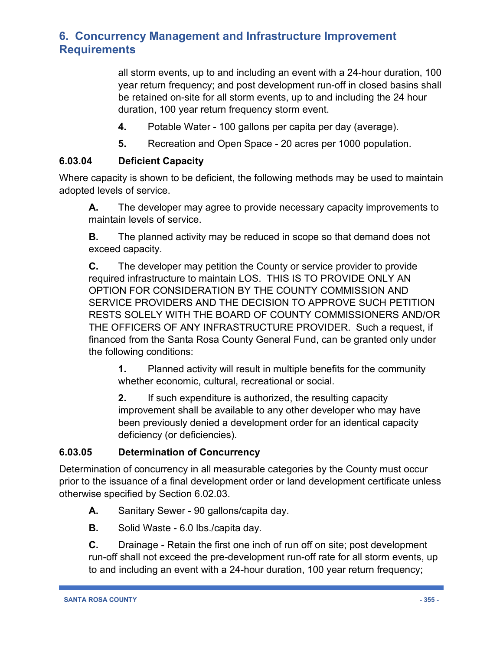all storm events, up to and including an event with a 24-hour duration, 100 year return frequency; and post development run-off in closed basins shall be retained on-site for all storm events, up to and including the 24 hour duration, 100 year return frequency storm event.

- **4.** Potable Water 100 gallons per capita per day (average).
- **5.** Recreation and Open Space 20 acres per 1000 population.

#### **6.03.04 Deficient Capacity**

Where capacity is shown to be deficient, the following methods may be used to maintain adopted levels of service.

**A.** The developer may agree to provide necessary capacity improvements to maintain levels of service.

**B.** The planned activity may be reduced in scope so that demand does not exceed capacity.

**C.** The developer may petition the County or service provider to provide required infrastructure to maintain LOS. THIS IS TO PROVIDE ONLY AN OPTION FOR CONSIDERATION BY THE COUNTY COMMISSION AND SERVICE PROVIDERS AND THE DECISION TO APPROVE SUCH PETITION RESTS SOLELY WITH THE BOARD OF COUNTY COMMISSIONERS AND/OR THE OFFICERS OF ANY INFRASTRUCTURE PROVIDER. Such a request, if financed from the Santa Rosa County General Fund, can be granted only under the following conditions:

**1.** Planned activity will result in multiple benefits for the community whether economic, cultural, recreational or social.

**2.** If such expenditure is authorized, the resulting capacity improvement shall be available to any other developer who may have been previously denied a development order for an identical capacity deficiency (or deficiencies).

#### **6.03.05 Determination of Concurrency**

Determination of concurrency in all measurable categories by the County must occur prior to the issuance of a final development order or land development certificate unless otherwise specified by Section 6.02.03.

- **A.** Sanitary Sewer 90 gallons/capita day.
- **B.** Solid Waste 6.0 lbs./capita day.

**C.** Drainage - Retain the first one inch of run off on site; post development run-off shall not exceed the pre-development run-off rate for all storm events, up to and including an event with a 24-hour duration, 100 year return frequency;